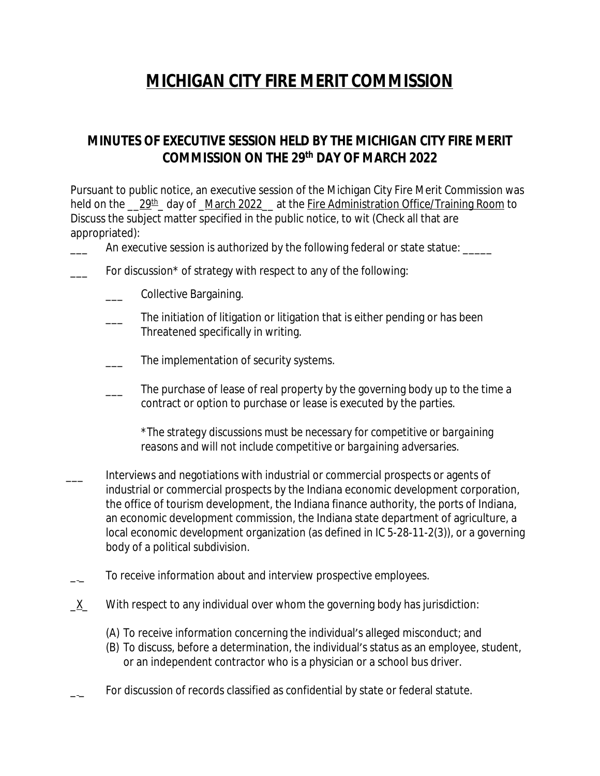## **MICHIGAN CITY FIRE MERIT COMMISSION**

## **MINUTES OF EXECUTIVE SESSION HELD BY THE MICHIGAN CITY FIRE MERIT COMMISSION ON THE 29 th DAY OF MARCH 2022**

Pursuant to public notice, an executive session of the Michigan City Fire Merit Commission was held on the 129<sup>th</sup> day of March 2022 at the Fire Administration Office/Training Room to Discuss the subject matter specified in the public notice, to wit (Check all that are appropriated):

An executive session is authorized by the following federal or state statue: \_\_\_\_\_

- For discussion\* of strategy with respect to any of the following:
	- \_\_\_ Collective Bargaining.
	- The initiation of litigation or litigation that is either pending or has been Threatened specifically in writing.
	- The implementation of security systems.
	- The purchase of lease of real property by the governing body up to the time a contract or option to purchase or lease is executed by the parties.

*\*The strategy discussions must be necessary for competitive or bargaining reasons and will not include competitive or bargaining adversaries.*

- \_\_\_ Interviews and negotiations with industrial or commercial prospects or agents of industrial or commercial prospects by the Indiana economic development corporation, the office of tourism development, the Indiana finance authority, the ports of Indiana, an economic development commission, the Indiana state department of agriculture, a local economic development organization (as defined in IC 5-28-11-2(3)), or a governing body of a political subdivision.
- To receive information about and interview prospective employees.
- X With respect to any individual over whom the governing body has jurisdiction:
	- (A) To receive information concerning the individual's alleged misconduct; and
	- (B) To discuss, before a determination, the individual's status as an employee, student, or an independent contractor who is a physician or a school bus driver.
	- For discussion of records classified as confidential by state or federal statute.